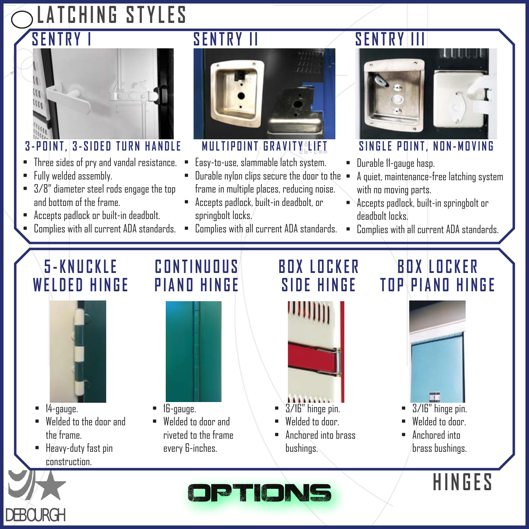# **LATCHING STYLES SENTRY I**



#### **3-POINT, 3-SIDED TURN HANDLE**

- Three sides of pry and vandal resistance.
- Fully welded assembly.
- 3/8" diameter steel rods engage the top and bottom of the frame.
- Accepts padlock or built-in deadbolt.
- Complies with all current ADA standards.





#### **MULTIPOINT GRAVITY LEFT**

- Easy-to-use, slammable latch system.
- Durable nylon clips secure the door to the frame in multiple places, reducing noise.
- Accepts padlock, built-in deadbolt, or springbolt locks.
- Complies with all current ADA standards.

### **SENTRY III**



#### **SINGLE POINT, NON-MOVING**

- Durable 11-gauge hasp.
- A quiet, maintenance-free latching system with no moving parts.
- Accepts padlock, built-in springbolt or deadbolt locks.
- Complies with all current ADA standards.

# **5 - K N U C K L E WELDED HINGE**



- 14-gauge.
- Welded to the door and the frame.
- Heavy-duty fast pin construction.

### **CONTINUOUS PIANO HINGE**



#### **BOX LOCKER SIDE HINGE**



- Welded to door.
- Anchored into brass bushings.

### **BOX LOCKER TOP PIANO HINGE**



- 3/16" hinge pin.
- Welded to door
- Anchored into brass bushings.

**HINGES**